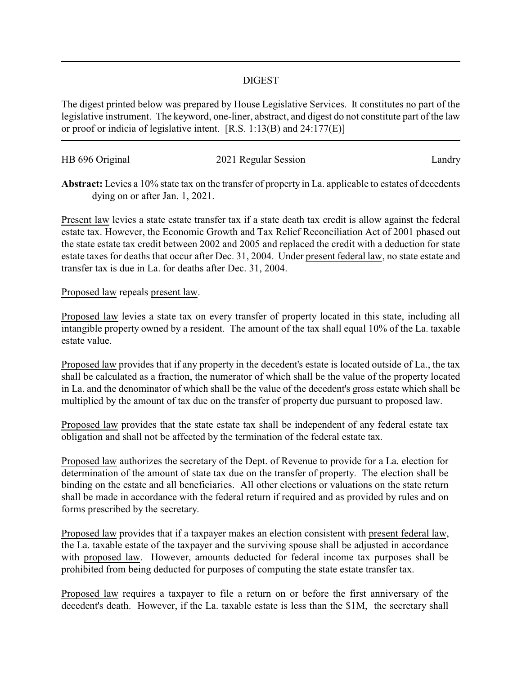## DIGEST

The digest printed below was prepared by House Legislative Services. It constitutes no part of the legislative instrument. The keyword, one-liner, abstract, and digest do not constitute part of the law or proof or indicia of legislative intent. [R.S. 1:13(B) and 24:177(E)]

| HB 696 Original | 2021 Regular Session | Landry |
|-----------------|----------------------|--------|
|                 |                      |        |

**Abstract:** Levies a 10% state tax on the transfer of property in La. applicable to estates of decedents dying on or after Jan. 1, 2021.

Present law levies a state estate transfer tax if a state death tax credit is allow against the federal estate tax. However, the Economic Growth and Tax Relief Reconciliation Act of 2001 phased out the state estate tax credit between 2002 and 2005 and replaced the credit with a deduction for state estate taxes for deaths that occur after Dec. 31, 2004. Under present federal law, no state estate and transfer tax is due in La. for deaths after Dec. 31, 2004.

## Proposed law repeals present law.

Proposed law levies a state tax on every transfer of property located in this state, including all intangible property owned by a resident. The amount of the tax shall equal 10% of the La. taxable estate value.

Proposed law provides that if any property in the decedent's estate is located outside of La., the tax shall be calculated as a fraction, the numerator of which shall be the value of the property located in La. and the denominator of which shall be the value of the decedent's gross estate which shall be multiplied by the amount of tax due on the transfer of property due pursuant to proposed law.

Proposed law provides that the state estate tax shall be independent of any federal estate tax obligation and shall not be affected by the termination of the federal estate tax.

Proposed law authorizes the secretary of the Dept. of Revenue to provide for a La. election for determination of the amount of state tax due on the transfer of property. The election shall be binding on the estate and all beneficiaries. All other elections or valuations on the state return shall be made in accordance with the federal return if required and as provided by rules and on forms prescribed by the secretary.

Proposed law provides that if a taxpayer makes an election consistent with present federal law, the La. taxable estate of the taxpayer and the surviving spouse shall be adjusted in accordance with proposed law. However, amounts deducted for federal income tax purposes shall be prohibited from being deducted for purposes of computing the state estate transfer tax.

Proposed law requires a taxpayer to file a return on or before the first anniversary of the decedent's death. However, if the La. taxable estate is less than the \$1M, the secretary shall